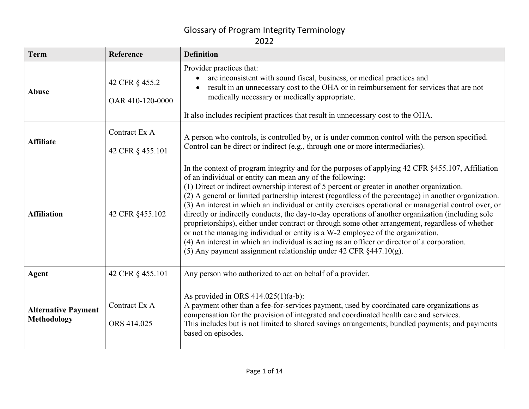| <b>Term</b>                                      | Reference                          | <b>Definition</b>                                                                                                                                                                                                                                                                                                                                                                                                                                                                                                                                                                                                                                                                                                                                                                                                                                                                                                                                  |  |
|--------------------------------------------------|------------------------------------|----------------------------------------------------------------------------------------------------------------------------------------------------------------------------------------------------------------------------------------------------------------------------------------------------------------------------------------------------------------------------------------------------------------------------------------------------------------------------------------------------------------------------------------------------------------------------------------------------------------------------------------------------------------------------------------------------------------------------------------------------------------------------------------------------------------------------------------------------------------------------------------------------------------------------------------------------|--|
| <b>Abuse</b>                                     | 42 CFR § 455.2<br>OAR 410-120-0000 | Provider practices that:<br>are inconsistent with sound fiscal, business, or medical practices and<br>result in an unnecessary cost to the OHA or in reimbursement for services that are not<br>medically necessary or medically appropriate.<br>It also includes recipient practices that result in unnecessary cost to the OHA.                                                                                                                                                                                                                                                                                                                                                                                                                                                                                                                                                                                                                  |  |
| <b>Affiliate</b>                                 | Contract Ex A<br>42 CFR § 455.101  | A person who controls, is controlled by, or is under common control with the person specified.<br>Control can be direct or indirect (e.g., through one or more intermediaries).                                                                                                                                                                                                                                                                                                                                                                                                                                                                                                                                                                                                                                                                                                                                                                    |  |
| <b>Affiliation</b>                               | 42 CFR §455.102                    | In the context of program integrity and for the purposes of applying 42 CFR §455.107, Affiliation<br>of an individual or entity can mean any of the following:<br>(1) Direct or indirect ownership interest of 5 percent or greater in another organization.<br>(2) A general or limited partnership interest (regardless of the percentage) in another organization.<br>(3) An interest in which an individual or entity exercises operational or managerial control over, or<br>directly or indirectly conducts, the day-to-day operations of another organization (including sole<br>proprietorships), either under contract or through some other arrangement, regardless of whether<br>or not the managing individual or entity is a W-2 employee of the organization.<br>(4) An interest in which an individual is acting as an officer or director of a corporation.<br>(5) Any payment assignment relationship under 42 CFR $§$ 447.10(g). |  |
| Agent                                            | 42 CFR § 455.101                   | Any person who authorized to act on behalf of a provider.                                                                                                                                                                                                                                                                                                                                                                                                                                                                                                                                                                                                                                                                                                                                                                                                                                                                                          |  |
| <b>Alternative Payment</b><br><b>Methodology</b> | Contract Ex A<br>ORS 414.025       | As provided in ORS $414.025(1)(a-b)$ :<br>A payment other than a fee-for-services payment, used by coordinated care organizations as<br>compensation for the provision of integrated and coordinated health care and services.<br>This includes but is not limited to shared savings arrangements; bundled payments; and payments<br>based on episodes.                                                                                                                                                                                                                                                                                                                                                                                                                                                                                                                                                                                            |  |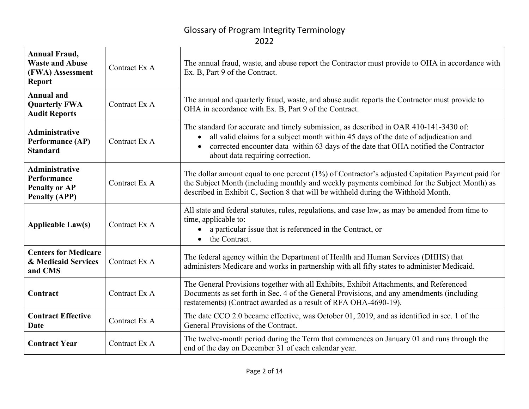| <b>Annual Fraud,</b><br><b>Waste and Abuse</b><br>(FWA) Assessment<br><b>Report</b>  | Contract Ex A | The annual fraud, waste, and abuse report the Contractor must provide to OHA in accordance with<br>Ex. B, Part 9 of the Contract.                                                                                                                                                                                     |
|--------------------------------------------------------------------------------------|---------------|-----------------------------------------------------------------------------------------------------------------------------------------------------------------------------------------------------------------------------------------------------------------------------------------------------------------------|
| <b>Annual and</b><br><b>Quarterly FWA</b><br><b>Audit Reports</b>                    | Contract Ex A | The annual and quarterly fraud, waste, and abuse audit reports the Contractor must provide to<br>OHA in accordance with Ex. B, Part 9 of the Contract.                                                                                                                                                                |
| <b>Administrative</b><br>Performance (AP)<br><b>Standard</b>                         | Contract Ex A | The standard for accurate and timely submission, as described in OAR 410-141-3430 of:<br>all valid claims for a subject month within 45 days of the date of adjudication and<br>corrected encounter data within 63 days of the date that OHA notified the Contractor<br>$\bullet$<br>about data requiring correction. |
| <b>Administrative</b><br>Performance<br><b>Penalty or AP</b><br><b>Penalty (APP)</b> | Contract Ex A | The dollar amount equal to one percent (1%) of Contractor's adjusted Capitation Payment paid for<br>the Subject Month (including monthly and weekly payments combined for the Subject Month) as<br>described in Exhibit C, Section 8 that will be withheld during the Withhold Month.                                 |
| <b>Applicable Law(s)</b>                                                             | Contract Ex A | All state and federal statutes, rules, regulations, and case law, as may be amended from time to<br>time, applicable to:<br>a particular issue that is referenced in the Contract, or<br>the Contract.<br>$\bullet$                                                                                                   |
| <b>Centers for Medicare</b><br>& Medicaid Services<br>and CMS                        | Contract Ex A | The federal agency within the Department of Health and Human Services (DHHS) that<br>administers Medicare and works in partnership with all fifty states to administer Medicaid.                                                                                                                                      |
| Contract                                                                             | Contract Ex A | The General Provisions together with all Exhibits, Exhibit Attachments, and Referenced<br>Documents as set forth in Sec. 4 of the General Provisions, and any amendments (including<br>restatements) (Contract awarded as a result of RFA OHA-4690-19).                                                               |
| <b>Contract Effective</b><br>Date                                                    | Contract Ex A | The date CCO 2.0 became effective, was October 01, 2019, and as identified in sec. 1 of the<br>General Provisions of the Contract.                                                                                                                                                                                    |
| <b>Contract Year</b>                                                                 | Contract Ex A | The twelve-month period during the Term that commences on January 01 and runs through the<br>end of the day on December 31 of each calendar year.                                                                                                                                                                     |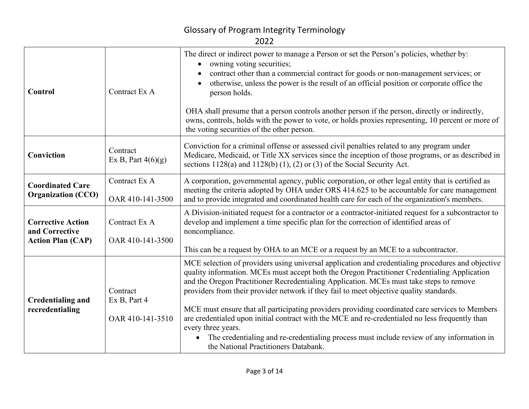| Control                                                                | Contract Ex A                                | The direct or indirect power to manage a Person or set the Person's policies, whether by:<br>owning voting securities;<br>contract other than a commercial contract for goods or non-management services; or<br>otherwise, unless the power is the result of an official position or corporate office the<br>person holds.<br>OHA shall presume that a person controls another person if the person, directly or indirectly,<br>owns, controls, holds with the power to vote, or holds proxies representing, 10 percent or more of                                                                                                                                                                                                                      |
|------------------------------------------------------------------------|----------------------------------------------|---------------------------------------------------------------------------------------------------------------------------------------------------------------------------------------------------------------------------------------------------------------------------------------------------------------------------------------------------------------------------------------------------------------------------------------------------------------------------------------------------------------------------------------------------------------------------------------------------------------------------------------------------------------------------------------------------------------------------------------------------------|
|                                                                        |                                              | the voting securities of the other person.                                                                                                                                                                                                                                                                                                                                                                                                                                                                                                                                                                                                                                                                                                              |
| Conviction                                                             | Contract<br>Ex B, Part $4(6)(g)$             | Conviction for a criminal offense or assessed civil penalties related to any program under<br>Medicare, Medicaid, or Title XX services since the inception of those programs, or as described in<br>sections $1128(a)$ and $1128(b)$ (1), (2) or (3) of the Social Security Act.                                                                                                                                                                                                                                                                                                                                                                                                                                                                        |
| <b>Coordinated Care</b><br><b>Organization (CCO)</b>                   | Contract Ex A<br>OAR 410-141-3500            | A corporation, governmental agency, public corporation, or other legal entity that is certified as<br>meeting the criteria adopted by OHA under ORS 414.625 to be accountable for care management<br>and to provide integrated and coordinated health care for each of the organization's members.                                                                                                                                                                                                                                                                                                                                                                                                                                                      |
| <b>Corrective Action</b><br>and Corrective<br><b>Action Plan (CAP)</b> | Contract Ex A<br>OAR 410-141-3500            | A Division-initiated request for a contractor or a contractor-initiated request for a subcontractor to<br>develop and implement a time specific plan for the correction of identified areas of<br>noncompliance.<br>This can be a request by OHA to an MCE or a request by an MCE to a subcontractor.                                                                                                                                                                                                                                                                                                                                                                                                                                                   |
| <b>Credentialing and</b><br>recredentialing                            | Contract<br>Ex B, Part 4<br>OAR 410-141-3510 | MCE selection of providers using universal application and credentialing procedures and objective<br>quality information. MCEs must accept both the Oregon Practitioner Credentialing Application<br>and the Oregon Practitioner Recredentialing Application. MCEs must take steps to remove<br>providers from their provider network if they fail to meet objective quality standards.<br>MCE must ensure that all participating providers providing coordinated care services to Members<br>are credentialed upon initial contract with the MCE and re-credentialed no less frequently than<br>every three years.<br>The credentialing and re-credentialing process must include review of any information in<br>the National Practitioners Databank. |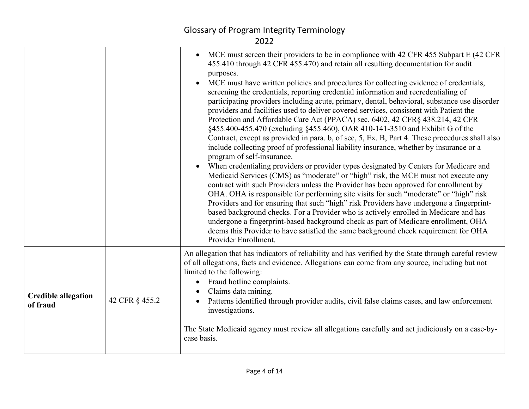|                                        |                | MCE must screen their providers to be in compliance with 42 CFR 455 Subpart E (42 CFR<br>$\bullet$<br>455.410 through 42 CFR 455.470) and retain all resulting documentation for audit<br>purposes.<br>MCE must have written policies and procedures for collecting evidence of credentials,<br>screening the credentials, reporting credential information and recredentialing of<br>participating providers including acute, primary, dental, behavioral, substance use disorder<br>providers and facilities used to deliver covered services, consistent with Patient the<br>Protection and Affordable Care Act (PPACA) sec. 6402, 42 CFR§ 438.214, 42 CFR<br>§455.400-455.470 (excluding §455.460), OAR 410-141-3510 and Exhibit G of the<br>Contract, except as provided in para. b, of sec, 5, Ex. B, Part 4. These procedures shall also<br>include collecting proof of professional liability insurance, whether by insurance or a<br>program of self-insurance.<br>When credentialing providers or provider types designated by Centers for Medicare and<br>Medicaid Services (CMS) as "moderate" or "high" risk, the MCE must not execute any<br>contract with such Providers unless the Provider has been approved for enrollment by<br>OHA. OHA is responsible for performing site visits for such "moderate" or "high" risk<br>Providers and for ensuring that such "high" risk Providers have undergone a fingerprint-<br>based background checks. For a Provider who is actively enrolled in Medicare and has<br>undergone a fingerprint-based background check as part of Medicare enrollment, OHA<br>deems this Provider to have satisfied the same background check requirement for OHA<br>Provider Enrollment. |
|----------------------------------------|----------------|-----------------------------------------------------------------------------------------------------------------------------------------------------------------------------------------------------------------------------------------------------------------------------------------------------------------------------------------------------------------------------------------------------------------------------------------------------------------------------------------------------------------------------------------------------------------------------------------------------------------------------------------------------------------------------------------------------------------------------------------------------------------------------------------------------------------------------------------------------------------------------------------------------------------------------------------------------------------------------------------------------------------------------------------------------------------------------------------------------------------------------------------------------------------------------------------------------------------------------------------------------------------------------------------------------------------------------------------------------------------------------------------------------------------------------------------------------------------------------------------------------------------------------------------------------------------------------------------------------------------------------------------------------------------------------------------------------------------------------------|
| <b>Credible allegation</b><br>of fraud | 42 CFR § 455.2 | An allegation that has indicators of reliability and has verified by the State through careful review<br>of all allegations, facts and evidence. Allegations can come from any source, including but not<br>limited to the following:<br>Fraud hotline complaints.<br>$\bullet$<br>Claims data mining.<br>Patterns identified through provider audits, civil false claims cases, and law enforcement<br>investigations.<br>The State Medicaid agency must review all allegations carefully and act judiciously on a case-by-<br>case basis.                                                                                                                                                                                                                                                                                                                                                                                                                                                                                                                                                                                                                                                                                                                                                                                                                                                                                                                                                                                                                                                                                                                                                                                       |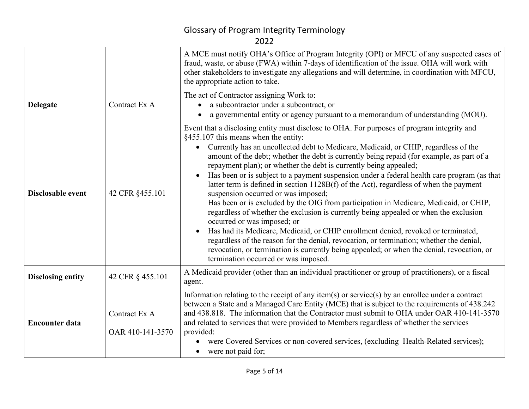|                          |                                   | A MCE must notify OHA's Office of Program Integrity (OPI) or MFCU of any suspected cases of<br>fraud, waste, or abuse (FWA) within 7-days of identification of the issue. OHA will work with<br>other stakeholders to investigate any allegations and will determine, in coordination with MFCU,<br>the appropriate action to take.                                                                                                                                                                                                                                                                                                                                                                                                                                                                                                                                                                                                                                                                                                                                                                                                                                              |  |  |
|--------------------------|-----------------------------------|----------------------------------------------------------------------------------------------------------------------------------------------------------------------------------------------------------------------------------------------------------------------------------------------------------------------------------------------------------------------------------------------------------------------------------------------------------------------------------------------------------------------------------------------------------------------------------------------------------------------------------------------------------------------------------------------------------------------------------------------------------------------------------------------------------------------------------------------------------------------------------------------------------------------------------------------------------------------------------------------------------------------------------------------------------------------------------------------------------------------------------------------------------------------------------|--|--|
| <b>Delegate</b>          | Contract Ex A                     | The act of Contractor assigning Work to:<br>• a subcontractor under a subcontract, or<br>a governmental entity or agency pursuant to a memorandum of understanding (MOU).                                                                                                                                                                                                                                                                                                                                                                                                                                                                                                                                                                                                                                                                                                                                                                                                                                                                                                                                                                                                        |  |  |
| Disclosable event        | 42 CFR §455.101                   | Event that a disclosing entity must disclose to OHA. For purposes of program integrity and<br>§455.107 this means when the entity:<br>Currently has an uncollected debt to Medicare, Medicaid, or CHIP, regardless of the<br>$\bullet$<br>amount of the debt; whether the debt is currently being repaid (for example, as part of a<br>repayment plan); or whether the debt is currently being appealed;<br>Has been or is subject to a payment suspension under a federal health care program (as that<br>latter term is defined in section 1128B(f) of the Act), regardless of when the payment<br>suspension occurred or was imposed;<br>Has been or is excluded by the OIG from participation in Medicare, Medicaid, or CHIP,<br>regardless of whether the exclusion is currently being appealed or when the exclusion<br>occurred or was imposed; or<br>Has had its Medicare, Medicaid, or CHIP enrollment denied, revoked or terminated,<br>regardless of the reason for the denial, revocation, or termination; whether the denial,<br>revocation, or termination is currently being appealed; or when the denial, revocation, or<br>termination occurred or was imposed. |  |  |
| <b>Disclosing entity</b> | 42 CFR § 455.101                  | A Medicaid provider (other than an individual practitioner or group of practitioners), or a fiscal<br>agent.                                                                                                                                                                                                                                                                                                                                                                                                                                                                                                                                                                                                                                                                                                                                                                                                                                                                                                                                                                                                                                                                     |  |  |
| <b>Encounter data</b>    | Contract Ex A<br>OAR 410-141-3570 | Information relating to the receipt of any item(s) or service(s) by an enrollee under a contract<br>between a State and a Managed Care Entity (MCE) that is subject to the requirements of 438.242<br>and 438.818. The information that the Contractor must submit to OHA under OAR 410-141-3570<br>and related to services that were provided to Members regardless of whether the services<br>provided:<br>were Covered Services or non-covered services, (excluding Health-Related services);<br>• were not paid for;                                                                                                                                                                                                                                                                                                                                                                                                                                                                                                                                                                                                                                                         |  |  |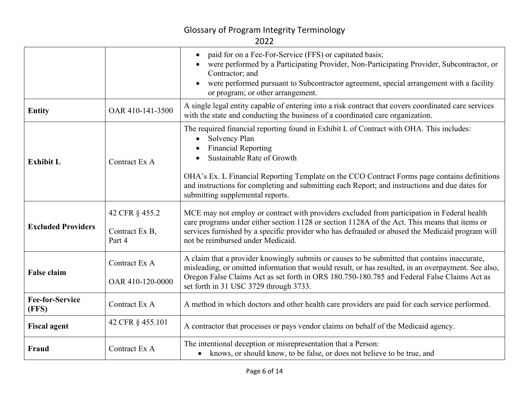|                                 |                                            | paid for on a Fee-For-Service (FFS) or capitated basis;<br>were performed by a Participating Provider, Non-Participating Provider, Subcontractor, or<br>Contractor; and<br>were performed pursuant to Subcontractor agreement, special arrangement with a facility<br>or program; or other arrangement.                                                                                                     |
|---------------------------------|--------------------------------------------|-------------------------------------------------------------------------------------------------------------------------------------------------------------------------------------------------------------------------------------------------------------------------------------------------------------------------------------------------------------------------------------------------------------|
| <b>Entity</b>                   | OAR 410-141-3500                           | A single legal entity capable of entering into a risk contract that covers coordinated care services<br>with the state and conducting the business of a coordinated care organization.                                                                                                                                                                                                                      |
| <b>Exhibit L</b>                | Contract Ex A                              | The required financial reporting found in Exhibit L of Contract with OHA. This includes:<br>Solvency Plan<br><b>Financial Reporting</b><br>Sustainable Rate of Growth<br>OHA's Ex. L Financial Reporting Template on the CCO Contract Forms page contains definitions<br>and instructions for completing and submitting each Report; and instructions and due dates for<br>submitting supplemental reports. |
| <b>Excluded Providers</b>       | 42 CFR § 455.2<br>Contract Ex B,<br>Part 4 | MCE may not employ or contract with providers excluded from participation in Federal health<br>care programs under either section 1128 or section 1128A of the Act. This means that items or<br>services furnished by a specific provider who has defrauded or abused the Medicaid program will<br>not be reimbursed under Medicaid.                                                                        |
| <b>False claim</b>              | Contract Ex A<br>OAR 410-120-0000          | A claim that a provider knowingly submits or causes to be submitted that contains inaccurate,<br>misleading, or omitted information that would result, or has resulted, in an overpayment. See also,<br>Oregon False Claims Act as set forth in ORS 180.750-180.785 and Federal False Claims Act as<br>set forth in 31 USC 3729 through 3733.                                                               |
| <b>Fee-for-Service</b><br>(FFS) | Contract Ex A                              | A method in which doctors and other health care providers are paid for each service performed.                                                                                                                                                                                                                                                                                                              |
| <b>Fiscal agent</b>             | 42 CFR § 455.101                           | A contractor that processes or pays vendor claims on behalf of the Medicaid agency.                                                                                                                                                                                                                                                                                                                         |
| Fraud                           | Contract Ex A                              | The intentional deception or misrepresentation that a Person:<br>• knows, or should know, to be false, or does not believe to be true, and                                                                                                                                                                                                                                                                  |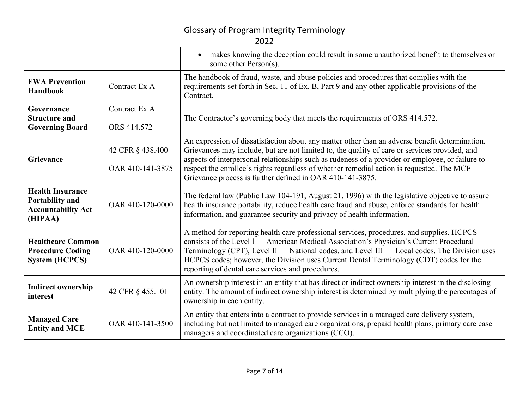|                                                                                    |                                      | • makes knowing the deception could result in some unauthorized benefit to themselves or<br>some other Person(s).                                                                                                                                                                                                                                                                                                                                             |  |
|------------------------------------------------------------------------------------|--------------------------------------|---------------------------------------------------------------------------------------------------------------------------------------------------------------------------------------------------------------------------------------------------------------------------------------------------------------------------------------------------------------------------------------------------------------------------------------------------------------|--|
| <b>FWA Prevention</b><br><b>Handbook</b>                                           | Contract Ex A                        | The handbook of fraud, waste, and abuse policies and procedures that complies with the<br>requirements set forth in Sec. 11 of Ex. B, Part 9 and any other applicable provisions of the<br>Contract.                                                                                                                                                                                                                                                          |  |
| Governance<br><b>Structure and</b><br><b>Governing Board</b>                       | Contract Ex A<br>ORS 414.572         | The Contractor's governing body that meets the requirements of ORS 414.572.                                                                                                                                                                                                                                                                                                                                                                                   |  |
| Grievance                                                                          | 42 CFR § 438.400<br>OAR 410-141-3875 | An expression of dissatisfaction about any matter other than an adverse benefit determination.<br>Grievances may include, but are not limited to, the quality of care or services provided, and<br>aspects of interpersonal relationships such as rudeness of a provider or employee, or failure to<br>respect the enrollee's rights regardless of whether remedial action is requested. The MCE<br>Grievance process is further defined in OAR 410-141-3875. |  |
| <b>Health Insurance</b><br>Portability and<br><b>Accountability Act</b><br>(HIPAA) | OAR 410-120-0000                     | The federal law (Public Law 104-191, August 21, 1996) with the legislative objective to assure<br>health insurance portability, reduce health care fraud and abuse, enforce standards for health<br>information, and guarantee security and privacy of health information.                                                                                                                                                                                    |  |
| <b>Healthcare Common</b><br><b>Procedure Coding</b><br><b>System (HCPCS)</b>       | OAR 410-120-0000                     | A method for reporting health care professional services, procedures, and supplies. HCPCS<br>consists of the Level 1 — American Medical Association's Physician's Current Procedural<br>Terminology (CPT), Level II - National codes, and Level III - Local codes. The Division uses<br>HCPCS codes; however, the Division uses Current Dental Terminology (CDT) codes for the<br>reporting of dental care services and procedures.                           |  |
| <b>Indirect ownership</b><br>interest                                              | 42 CFR § 455.101                     | An ownership interest in an entity that has direct or indirect ownership interest in the disclosing<br>entity. The amount of indirect ownership interest is determined by multiplying the percentages of<br>ownership in each entity.                                                                                                                                                                                                                         |  |
| <b>Managed Care</b><br><b>Entity and MCE</b>                                       | OAR 410-141-3500                     | An entity that enters into a contract to provide services in a managed care delivery system,<br>including but not limited to managed care organizations, prepaid health plans, primary care case<br>managers and coordinated care organizations (CCO).                                                                                                                                                                                                        |  |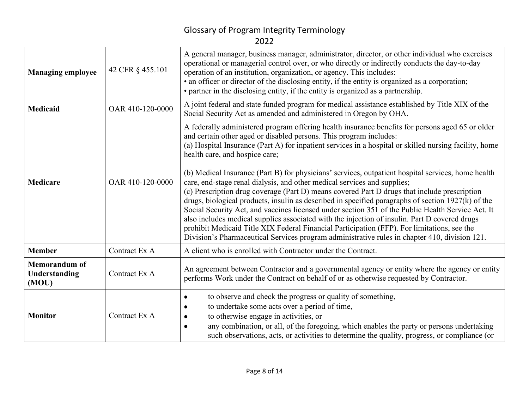| <b>Managing employee</b>                       | 42 CFR § 455.101 | A general manager, business manager, administrator, director, or other individual who exercises<br>operational or managerial control over, or who directly or indirectly conducts the day-to-day<br>operation of an institution, organization, or agency. This includes:<br>• an officer or director of the disclosing entity, if the entity is organized as a corporation;<br>• partner in the disclosing entity, if the entity is organized as a partnership.                                                                                                                                                                                                                                                                                                                                                                                                                                                  |  |
|------------------------------------------------|------------------|------------------------------------------------------------------------------------------------------------------------------------------------------------------------------------------------------------------------------------------------------------------------------------------------------------------------------------------------------------------------------------------------------------------------------------------------------------------------------------------------------------------------------------------------------------------------------------------------------------------------------------------------------------------------------------------------------------------------------------------------------------------------------------------------------------------------------------------------------------------------------------------------------------------|--|
| <b>Medicaid</b>                                | OAR 410-120-0000 | A joint federal and state funded program for medical assistance established by Title XIX of the<br>Social Security Act as amended and administered in Oregon by OHA.                                                                                                                                                                                                                                                                                                                                                                                                                                                                                                                                                                                                                                                                                                                                             |  |
| <b>Medicare</b>                                | OAR 410-120-0000 | A federally administered program offering health insurance benefits for persons aged 65 or older<br>and certain other aged or disabled persons. This program includes:<br>(a) Hospital Insurance (Part A) for inpatient services in a hospital or skilled nursing facility, home<br>health care, and hospice care;<br>(b) Medical Insurance (Part B) for physicians' services, outpatient hospital services, home health<br>care, end-stage renal dialysis, and other medical services and supplies;<br>(c) Prescription drug coverage (Part D) means covered Part D drugs that include prescription<br>drugs, biological products, insulin as described in specified paragraphs of section 1927(k) of the<br>Social Security Act, and vaccines licensed under section 351 of the Public Health Service Act. It<br>also includes medical supplies associated with the injection of insulin. Part D covered drugs |  |
|                                                |                  | prohibit Medicaid Title XIX Federal Financial Participation (FFP). For limitations, see the<br>Division's Pharmaceutical Services program administrative rules in chapter 410, division 121.                                                                                                                                                                                                                                                                                                                                                                                                                                                                                                                                                                                                                                                                                                                     |  |
| <b>Member</b>                                  | Contract Ex A    | A client who is enrolled with Contractor under the Contract.                                                                                                                                                                                                                                                                                                                                                                                                                                                                                                                                                                                                                                                                                                                                                                                                                                                     |  |
| <b>Memorandum of</b><br>Understanding<br>(MOU) | Contract Ex A    | An agreement between Contractor and a governmental agency or entity where the agency or entity<br>performs Work under the Contract on behalf of or as otherwise requested by Contractor.                                                                                                                                                                                                                                                                                                                                                                                                                                                                                                                                                                                                                                                                                                                         |  |
| <b>Monitor</b>                                 | Contract Ex A    | to observe and check the progress or quality of something,<br>$\bullet$<br>to undertake some acts over a period of time,<br>to otherwise engage in activities, or<br>any combination, or all, of the foregoing, which enables the party or persons undertaking<br>such observations, acts, or activities to determine the quality, progress, or compliance (or                                                                                                                                                                                                                                                                                                                                                                                                                                                                                                                                                   |  |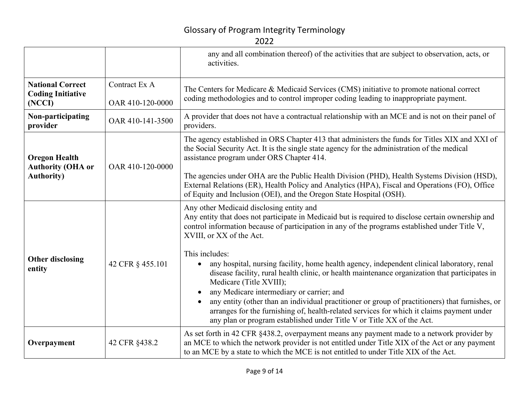|                                                                        |                                   | any and all combination thereof) of the activities that are subject to observation, acts, or<br>activities.                                                                                                                                                                                                                                                                                                                                                                                                                                                     |  |
|------------------------------------------------------------------------|-----------------------------------|-----------------------------------------------------------------------------------------------------------------------------------------------------------------------------------------------------------------------------------------------------------------------------------------------------------------------------------------------------------------------------------------------------------------------------------------------------------------------------------------------------------------------------------------------------------------|--|
| <b>National Correct</b><br><b>Coding Initiative</b><br>(NCCI)          | Contract Ex A<br>OAR 410-120-0000 | The Centers for Medicare & Medicaid Services (CMS) initiative to promote national correct<br>coding methodologies and to control improper coding leading to inappropriate payment.                                                                                                                                                                                                                                                                                                                                                                              |  |
| Non-participating<br>provider                                          | OAR 410-141-3500                  | A provider that does not have a contractual relationship with an MCE and is not on their panel of<br>providers.                                                                                                                                                                                                                                                                                                                                                                                                                                                 |  |
| <b>Oregon Health</b><br><b>Authority (OHA or</b><br><b>Authority</b> ) | OAR 410-120-0000                  | The agency established in ORS Chapter 413 that administers the funds for Titles XIX and XXI of<br>the Social Security Act. It is the single state agency for the administration of the medical<br>assistance program under ORS Chapter 414.<br>The agencies under OHA are the Public Health Division (PHD), Health Systems Division (HSD),                                                                                                                                                                                                                      |  |
|                                                                        |                                   | External Relations (ER), Health Policy and Analytics (HPA), Fiscal and Operations (FO), Office<br>of Equity and Inclusion (OEI), and the Oregon State Hospital (OSH).                                                                                                                                                                                                                                                                                                                                                                                           |  |
| <b>Other disclosing</b><br>entity                                      | 42 CFR § 455.101                  | Any other Medicaid disclosing entity and<br>Any entity that does not participate in Medicaid but is required to disclose certain ownership and<br>control information because of participation in any of the programs established under Title V,<br>XVIII, or XX of the Act.                                                                                                                                                                                                                                                                                    |  |
|                                                                        |                                   | This includes:<br>any hospital, nursing facility, home health agency, independent clinical laboratory, renal<br>disease facility, rural health clinic, or health maintenance organization that participates in<br>Medicare (Title XVIII);<br>any Medicare intermediary or carrier; and<br>any entity (other than an individual practitioner or group of practitioners) that furnishes, or<br>arranges for the furnishing of, health-related services for which it claims payment under<br>any plan or program established under Title V or Title XX of the Act. |  |
| Overpayment                                                            | 42 CFR §438.2                     | As set forth in 42 CFR §438.2, overpayment means any payment made to a network provider by<br>an MCE to which the network provider is not entitled under Title XIX of the Act or any payment<br>to an MCE by a state to which the MCE is not entitled to under Title XIX of the Act.                                                                                                                                                                                                                                                                            |  |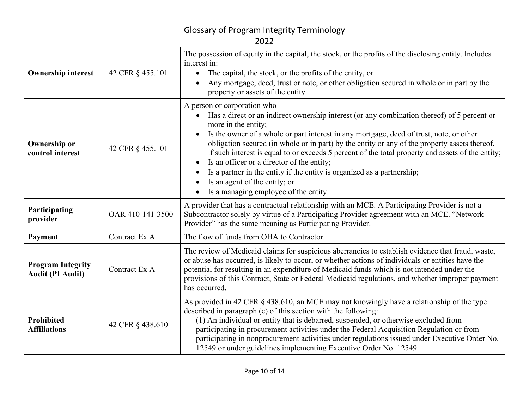| I |  |
|---|--|

| <b>Ownership interest</b>                           | 42 CFR § 455.101 | The possession of equity in the capital, the stock, or the profits of the disclosing entity. Includes<br>interest in:<br>The capital, the stock, or the profits of the entity, or<br>$\bullet$<br>Any mortgage, deed, trust or note, or other obligation secured in whole or in part by the<br>property or assets of the entity.                                                                                                                                                                                                                                                                                                                                                |  |
|-----------------------------------------------------|------------------|---------------------------------------------------------------------------------------------------------------------------------------------------------------------------------------------------------------------------------------------------------------------------------------------------------------------------------------------------------------------------------------------------------------------------------------------------------------------------------------------------------------------------------------------------------------------------------------------------------------------------------------------------------------------------------|--|
| <b>Ownership or</b><br>control interest             | 42 CFR § 455.101 | A person or corporation who<br>Has a direct or an indirect ownership interest (or any combination thereof) of 5 percent or<br>$\bullet$<br>more in the entity;<br>Is the owner of a whole or part interest in any mortgage, deed of trust, note, or other<br>$\bullet$<br>obligation secured (in whole or in part) by the entity or any of the property assets thereof,<br>if such interest is equal to or exceeds 5 percent of the total property and assets of the entity;<br>Is an officer or a director of the entity;<br>Is a partner in the entity if the entity is organized as a partnership;<br>Is an agent of the entity; or<br>Is a managing employee of the entity. |  |
| Participating<br>provider                           | OAR 410-141-3500 | A provider that has a contractual relationship with an MCE. A Participating Provider is not a<br>Subcontractor solely by virtue of a Participating Provider agreement with an MCE. "Network<br>Provider" has the same meaning as Participating Provider.                                                                                                                                                                                                                                                                                                                                                                                                                        |  |
| Payment                                             | Contract Ex A    | The flow of funds from OHA to Contractor.                                                                                                                                                                                                                                                                                                                                                                                                                                                                                                                                                                                                                                       |  |
| <b>Program Integrity</b><br><b>Audit (PI Audit)</b> | Contract Ex A    | The review of Medicaid claims for suspicious aberrancies to establish evidence that fraud, waste,<br>or abuse has occurred, is likely to occur, or whether actions of individuals or entities have the<br>potential for resulting in an expenditure of Medicaid funds which is not intended under the<br>provisions of this Contract, State or Federal Medicaid regulations, and whether improper payment<br>has occurred.                                                                                                                                                                                                                                                      |  |
| Prohibited<br><b>Affiliations</b>                   | 42 CFR § 438.610 | As provided in 42 CFR § 438.610, an MCE may not knowingly have a relationship of the type<br>described in paragraph (c) of this section with the following:<br>(1) An individual or entity that is debarred, suspended, or otherwise excluded from<br>participating in procurement activities under the Federal Acquisition Regulation or from<br>participating in nonprocurement activities under regulations issued under Executive Order No.<br>12549 or under guidelines implementing Executive Order No. 12549.                                                                                                                                                            |  |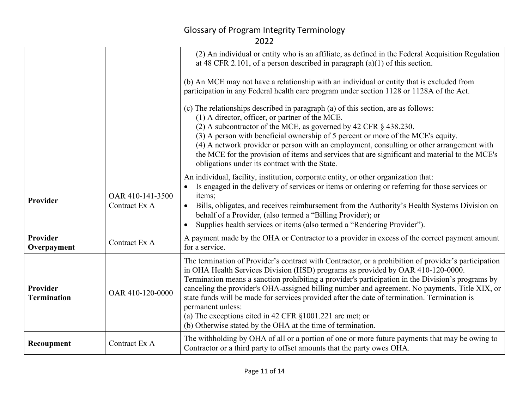|                                |                                   | (2) An individual or entity who is an affiliate, as defined in the Federal Acquisition Regulation<br>at 48 CFR 2.101, of a person described in paragraph $(a)(1)$ of this section.                                                                                                                                                                                                                                                                                                                                                                                                                                                                 |
|--------------------------------|-----------------------------------|----------------------------------------------------------------------------------------------------------------------------------------------------------------------------------------------------------------------------------------------------------------------------------------------------------------------------------------------------------------------------------------------------------------------------------------------------------------------------------------------------------------------------------------------------------------------------------------------------------------------------------------------------|
|                                |                                   | (b) An MCE may not have a relationship with an individual or entity that is excluded from<br>participation in any Federal health care program under section 1128 or 1128A of the Act.                                                                                                                                                                                                                                                                                                                                                                                                                                                              |
|                                |                                   | (c) The relationships described in paragraph (a) of this section, are as follows:<br>(1) A director, officer, or partner of the MCE.<br>(2) A subcontractor of the MCE, as governed by 42 CFR § 438.230.<br>(3) A person with beneficial ownership of 5 percent or more of the MCE's equity.<br>(4) A network provider or person with an employment, consulting or other arrangement with<br>the MCE for the provision of items and services that are significant and material to the MCE's<br>obligations under its contract with the State.                                                                                                      |
| Provider                       | OAR 410-141-3500<br>Contract Ex A | An individual, facility, institution, corporate entity, or other organization that:<br>Is engaged in the delivery of services or items or ordering or referring for those services or<br>items;<br>Bills, obligates, and receives reimbursement from the Authority's Health Systems Division on<br>$\bullet$<br>behalf of a Provider, (also termed a "Billing Provider); or<br>Supplies health services or items (also termed a "Rendering Provider").                                                                                                                                                                                             |
| Provider<br>Overpayment        | Contract Ex A                     | A payment made by the OHA or Contractor to a provider in excess of the correct payment amount<br>for a service.                                                                                                                                                                                                                                                                                                                                                                                                                                                                                                                                    |
| Provider<br><b>Termination</b> | OAR 410-120-0000                  | The termination of Provider's contract with Contractor, or a prohibition of provider's participation<br>in OHA Health Services Division (HSD) programs as provided by OAR 410-120-0000.<br>Termination means a sanction prohibiting a provider's participation in the Division's programs by<br>canceling the provider's OHA-assigned billing number and agreement. No payments, Title XIX, or<br>state funds will be made for services provided after the date of termination. Termination is<br>permanent unless:<br>(a) The exceptions cited in 42 CFR $\S 1001.221$ are met; or<br>(b) Otherwise stated by the OHA at the time of termination. |
| Recoupment                     | Contract Ex A                     | The withholding by OHA of all or a portion of one or more future payments that may be owing to<br>Contractor or a third party to offset amounts that the party owes OHA.                                                                                                                                                                                                                                                                                                                                                                                                                                                                           |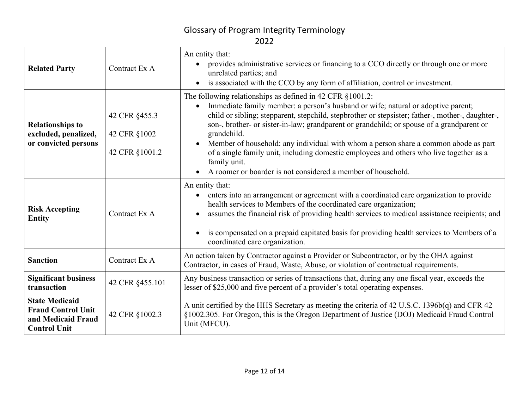| <b>Related Party</b>                                                                            | Contract Ex A                                   | An entity that:<br>provides administrative services or financing to a CCO directly or through one or more<br>unrelated parties; and<br>is associated with the CCO by any form of affiliation, control or investment.                                                                                                                                                                                                                                                                                                                                                                                                            |
|-------------------------------------------------------------------------------------------------|-------------------------------------------------|---------------------------------------------------------------------------------------------------------------------------------------------------------------------------------------------------------------------------------------------------------------------------------------------------------------------------------------------------------------------------------------------------------------------------------------------------------------------------------------------------------------------------------------------------------------------------------------------------------------------------------|
| <b>Relationships to</b><br>excluded, penalized,<br>or convicted persons                         | 42 CFR §455.3<br>42 CFR §1002<br>42 CFR §1001.2 | The following relationships as defined in 42 CFR §1001.2:<br>Immediate family member: a person's husband or wife; natural or adoptive parent;<br>child or sibling; stepparent, stepchild, stepbrother or stepsister; father-, mother-, daughter-,<br>son-, brother- or sister-in-law; grandparent or grandchild; or spouse of a grandparent or<br>grandchild.<br>Member of household: any individual with whom a person share a common abode as part<br>of a single family unit, including domestic employees and others who live together as a<br>family unit.<br>A roomer or boarder is not considered a member of household. |
| <b>Risk Accepting</b><br><b>Entity</b>                                                          | Contract Ex A                                   | An entity that:<br>enters into an arrangement or agreement with a coordinated care organization to provide<br>$\bullet$<br>health services to Members of the coordinated care organization;<br>assumes the financial risk of providing health services to medical assistance recipients; and<br>is compensated on a prepaid capitated basis for providing health services to Members of a<br>coordinated care organization.                                                                                                                                                                                                     |
| <b>Sanction</b>                                                                                 | Contract Ex A                                   | An action taken by Contractor against a Provider or Subcontractor, or by the OHA against<br>Contractor, in cases of Fraud, Waste, Abuse, or violation of contractual requirements.                                                                                                                                                                                                                                                                                                                                                                                                                                              |
| <b>Significant business</b><br>transaction                                                      | 42 CFR §455.101                                 | Any business transaction or series of transactions that, during any one fiscal year, exceeds the<br>lesser of \$25,000 and five percent of a provider's total operating expenses.                                                                                                                                                                                                                                                                                                                                                                                                                                               |
| <b>State Medicaid</b><br><b>Fraud Control Unit</b><br>and Medicaid Fraud<br><b>Control Unit</b> | 42 CFR §1002.3                                  | A unit certified by the HHS Secretary as meeting the criteria of 42 U.S.C. 1396b(q) and CFR 42<br>§1002.305. For Oregon, this is the Oregon Department of Justice (DOJ) Medicaid Fraud Control<br>Unit (MFCU).                                                                                                                                                                                                                                                                                                                                                                                                                  |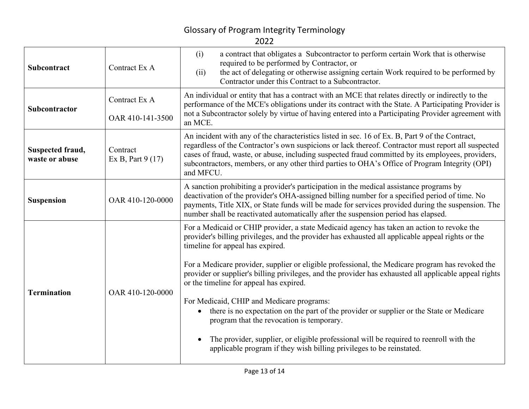| <b>Subcontract</b>                 | Contract Ex A                     | a contract that obligates a Subcontractor to perform certain Work that is otherwise<br>(i)<br>required to be performed by Contractor, or<br>the act of delegating or otherwise assigning certain Work required to be performed by<br>(ii)<br>Contractor under this Contract to a Subcontractor.                                                                                                                                                                                                                                                                                                                                                                                                                                                                                                                                                                                |
|------------------------------------|-----------------------------------|--------------------------------------------------------------------------------------------------------------------------------------------------------------------------------------------------------------------------------------------------------------------------------------------------------------------------------------------------------------------------------------------------------------------------------------------------------------------------------------------------------------------------------------------------------------------------------------------------------------------------------------------------------------------------------------------------------------------------------------------------------------------------------------------------------------------------------------------------------------------------------|
| Subcontractor                      | Contract Ex A<br>OAR 410-141-3500 | An individual or entity that has a contract with an MCE that relates directly or indirectly to the<br>performance of the MCE's obligations under its contract with the State. A Participating Provider is<br>not a Subcontractor solely by virtue of having entered into a Participating Provider agreement with<br>an MCE.                                                                                                                                                                                                                                                                                                                                                                                                                                                                                                                                                    |
| Suspected fraud,<br>waste or abuse | Contract<br>Ex B, Part 9 (17)     | An incident with any of the characteristics listed in sec. 16 of Ex. B, Part 9 of the Contract,<br>regardless of the Contractor's own suspicions or lack thereof. Contractor must report all suspected<br>cases of fraud, waste, or abuse, including suspected fraud committed by its employees, providers,<br>subcontractors, members, or any other third parties to OHA's Office of Program Integrity (OPI)<br>and MFCU.                                                                                                                                                                                                                                                                                                                                                                                                                                                     |
| <b>Suspension</b>                  | OAR 410-120-0000                  | A sanction prohibiting a provider's participation in the medical assistance programs by<br>deactivation of the provider's OHA-assigned billing number for a specified period of time. No<br>payments, Title XIX, or State funds will be made for services provided during the suspension. The<br>number shall be reactivated automatically after the suspension period has elapsed.                                                                                                                                                                                                                                                                                                                                                                                                                                                                                            |
| <b>Termination</b>                 | OAR 410-120-0000                  | For a Medicaid or CHIP provider, a state Medicaid agency has taken an action to revoke the<br>provider's billing privileges, and the provider has exhausted all applicable appeal rights or the<br>timeline for appeal has expired.<br>For a Medicare provider, supplier or eligible professional, the Medicare program has revoked the<br>provider or supplier's billing privileges, and the provider has exhausted all applicable appeal rights<br>or the timeline for appeal has expired.<br>For Medicaid, CHIP and Medicare programs:<br>there is no expectation on the part of the provider or supplier or the State or Medicare<br>$\bullet$<br>program that the revocation is temporary.<br>The provider, supplier, or eligible professional will be required to reenroll with the<br>$\bullet$<br>applicable program if they wish billing privileges to be reinstated. |